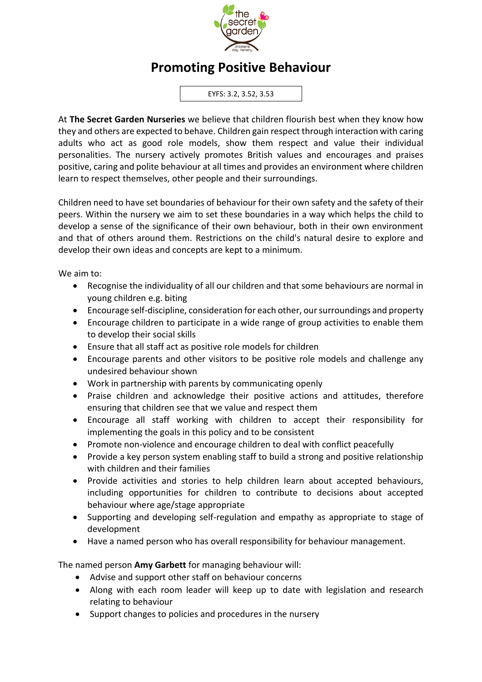

## **Promoting Positive Behaviour**

EYFS: 3.2, 3.52, 3.53

At **The Secret Garden Nurseries** we believe that children flourish best when they know how they and others are expected to behave. Children gain respect through interaction with caring adults who act as good role models, show them respect and value their individual personalities. The nursery actively promotes British values and encourages and praises positive, caring and polite behaviour at all times and provides an environment where children learn to respect themselves, other people and their surroundings.

Children need to have set boundaries of behaviour for their own safety and the safety of their peers. Within the nursery we aim to set these boundaries in a way which helps the child to develop a sense of the significance of their own behaviour, both in their own environment and that of others around them. Restrictions on the child's natural desire to explore and develop their own ideas and concepts are kept to a minimum.

We aim to:

- Recognise the individuality of all our children and that some behaviours are normal in young children e.g. biting
- Encourage self-discipline, consideration for each other, our surroundings and property
- Encourage children to participate in a wide range of group activities to enable them to develop their social skills
- Ensure that all staff act as positive role models for children
- Encourage parents and other visitors to be positive role models and challenge any undesired behaviour shown
- Work in partnership with parents by communicating openly
- Praise children and acknowledge their positive actions and attitudes, therefore ensuring that children see that we value and respect them
- Encourage all staff working with children to accept their responsibility for implementing the goals in this policy and to be consistent
- Promote non-violence and encourage children to deal with conflict peacefully
- Provide a key person system enabling staff to build a strong and positive relationship with children and their families
- Provide activities and stories to help children learn about accepted behaviours, including opportunities for children to contribute to decisions about accepted behaviour where age/stage appropriate
- Supporting and developing self-regulation and empathy as appropriate to stage of development
- Have a named person who has overall responsibility for behaviour management.

The named person **Amy Garbett** for managing behaviour will:

- Advise and support other staff on behaviour concerns
- Along with each room leader will keep up to date with legislation and research relating to behaviour
- Support changes to policies and procedures in the nursery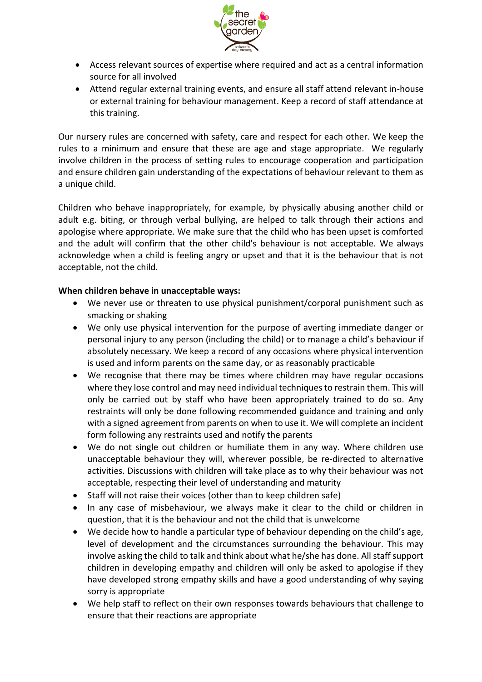

- Access relevant sources of expertise where required and act as a central information source for all involved
- Attend regular external training events, and ensure all staff attend relevant in-house or external training for behaviour management. Keep a record of staff attendance at this training.

Our nursery rules are concerned with safety, care and respect for each other. We keep the rules to a minimum and ensure that these are age and stage appropriate. We regularly involve children in the process of setting rules to encourage cooperation and participation and ensure children gain understanding of the expectations of behaviour relevant to them as a unique child.

Children who behave inappropriately, for example, by physically abusing another child or adult e.g. biting, or through verbal bullying, are helped to talk through their actions and apologise where appropriate. We make sure that the child who has been upset is comforted and the adult will confirm that the other child's behaviour is not acceptable. We always acknowledge when a child is feeling angry or upset and that it is the behaviour that is not acceptable, not the child.

## **When children behave in unacceptable ways:**

- We never use or threaten to use physical punishment/corporal punishment such as smacking or shaking
- We only use physical intervention for the purpose of averting immediate danger or personal injury to any person (including the child) or to manage a child's behaviour if absolutely necessary. We keep a record of any occasions where physical intervention is used and inform parents on the same day, or as reasonably practicable
- We recognise that there may be times where children may have regular occasions where they lose control and may need individual techniques to restrain them. This will only be carried out by staff who have been appropriately trained to do so. Any restraints will only be done following recommended guidance and training and only with a signed agreement from parents on when to use it. We will complete an incident form following any restraints used and notify the parents
- We do not single out children or humiliate them in any way. Where children use unacceptable behaviour they will, wherever possible, be re-directed to alternative activities. Discussions with children will take place as to why their behaviour was not acceptable, respecting their level of understanding and maturity
- Staff will not raise their voices (other than to keep children safe)
- In any case of misbehaviour, we always make it clear to the child or children in question, that it is the behaviour and not the child that is unwelcome
- We decide how to handle a particular type of behaviour depending on the child's age, level of development and the circumstances surrounding the behaviour. This may involve asking the child to talk and think about what he/she has done. All staff support children in developing empathy and children will only be asked to apologise if they have developed strong empathy skills and have a good understanding of why saying sorry is appropriate
- We help staff to reflect on their own responses towards behaviours that challenge to ensure that their reactions are appropriate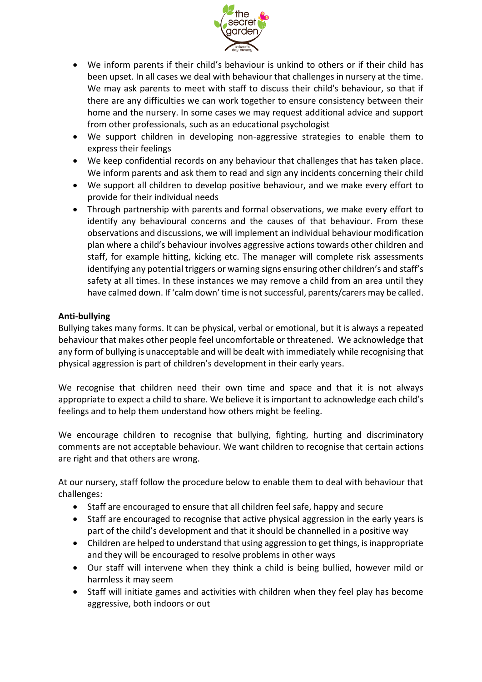

- We inform parents if their child's behaviour is unkind to others or if their child has been upset. In all cases we deal with behaviour that challenges in nursery at the time. We may ask parents to meet with staff to discuss their child's behaviour, so that if there are any difficulties we can work together to ensure consistency between their home and the nursery. In some cases we may request additional advice and support from other professionals, such as an educational psychologist
- We support children in developing non-aggressive strategies to enable them to express their feelings
- We keep confidential records on any behaviour that challenges that has taken place. We inform parents and ask them to read and sign any incidents concerning their child
- We support all children to develop positive behaviour, and we make every effort to provide for their individual needs
- Through partnership with parents and formal observations, we make every effort to identify any behavioural concerns and the causes of that behaviour. From these observations and discussions, we will implement an individual behaviour modification plan where a child's behaviour involves aggressive actions towards other children and staff, for example hitting, kicking etc. The manager will complete risk assessments identifying any potential triggers or warning signs ensuring other children's and staff's safety at all times. In these instances we may remove a child from an area until they have calmed down. If 'calm down' time is not successful, parents/carers may be called.

## **Anti-bullying**

Bullying takes many forms. It can be physical, verbal or emotional, but it is always a repeated behaviour that makes other people feel uncomfortable or threatened. We acknowledge that any form of bullying is unacceptable and will be dealt with immediately while recognising that physical aggression is part of children's development in their early years.

We recognise that children need their own time and space and that it is not always appropriate to expect a child to share. We believe it is important to acknowledge each child's feelings and to help them understand how others might be feeling.

We encourage children to recognise that bullying, fighting, hurting and discriminatory comments are not acceptable behaviour. We want children to recognise that certain actions are right and that others are wrong.

At our nursery, staff follow the procedure below to enable them to deal with behaviour that challenges:

- Staff are encouraged to ensure that all children feel safe, happy and secure
- Staff are encouraged to recognise that active physical aggression in the early years is part of the child's development and that it should be channelled in a positive way
- Children are helped to understand that using aggression to get things, is inappropriate and they will be encouraged to resolve problems in other ways
- Our staff will intervene when they think a child is being bullied, however mild or harmless it may seem
- Staff will initiate games and activities with children when they feel play has become aggressive, both indoors or out